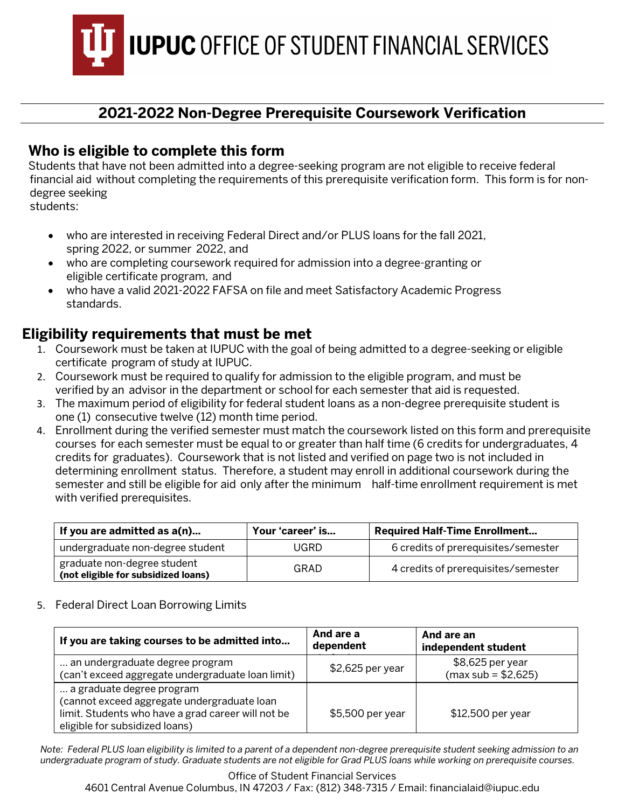**IUPUC OFFICE OF STUDENT FINANCIAL SERVICES** 

## **2021-2022 Non-Degree Prerequisite Coursework Verification**

## **Who is eligible to complete this form**

Students that have not been admitted into a degree-seeking program are not eligible to receive federal financial aid without completing the requirements of this prerequisite verification form. This form is for nondegree seeking

students:

- who are interested in receiving Federal Direct and/or PLUS loans for the fall 2021, spring 2022, or summer 2022, and
- who are completing coursework required for admission into a degree-granting or eligible certificate program, and
- who have a valid 2021-2022 FAFSA on file and meet Satisfactory Academic Progress standards.

### **Eligibility requirements that must be met**

- 1. Coursework must be taken at IUPUC with the goal of being admitted to a degree-seeking or eligible certificate program of study at IUPUC.
- 2. Coursework must be required to qualify for admission to the eligible program, and must be verified by an advisor in the department or school for each semester that aid is requested.
- 3. The maximum period of eligibility for federal student loans as a non-degree prerequisite student is one (1) consecutive twelve (12) month time period.
- 4. Enrollment during the verified semester must match the coursework listed on this form and prerequisite courses for each semester must be equal to or greater than half time (6 credits for undergraduates, 4 credits for graduates). Coursework that is not listed and verified on page two is not included in determining enrollment status. Therefore, a student may enroll in additional coursework during the semester and still be eligible for aid only after the minimum half-time enrollment requirement is met with verified prerequisites.

| If you are admitted as a(n)                                        | Your 'career' is | <b>Required Half-Time Enrollment</b> |
|--------------------------------------------------------------------|------------------|--------------------------------------|
| undergraduate non-degree student                                   | UGRD             | 6 credits of prerequisites/semester  |
| graduate non-degree student<br>(not eligible for subsidized loans) | GRAD             | 4 credits of prerequisites/semester  |

#### 5. Federal Direct Loan Borrowing Limits

| If you are taking courses to be admitted into                                                                                                                    | And are a<br>dependent | And are an<br>independent student        |
|------------------------------------------------------------------------------------------------------------------------------------------------------------------|------------------------|------------------------------------------|
| an undergraduate degree program<br>(can't exceed aggregate undergraduate loan limit)                                                                             | $$2,625$ per year      | \$8,625 per year<br>$(max sub = $2,625)$ |
| a graduate degree program<br>(cannot exceed aggregate undergraduate loan<br>limit. Students who have a grad career will not be<br>eligible for subsidized loans) | \$5,500 per year       | \$12,500 per year                        |

*Note: Federal PLUS loan eligibility is limited to a parent of a dependent non-degree prerequisite student seeking admission to an undergraduate program of study. Graduate students are not eligible for Grad PLUS loans while working on prerequisite courses.*